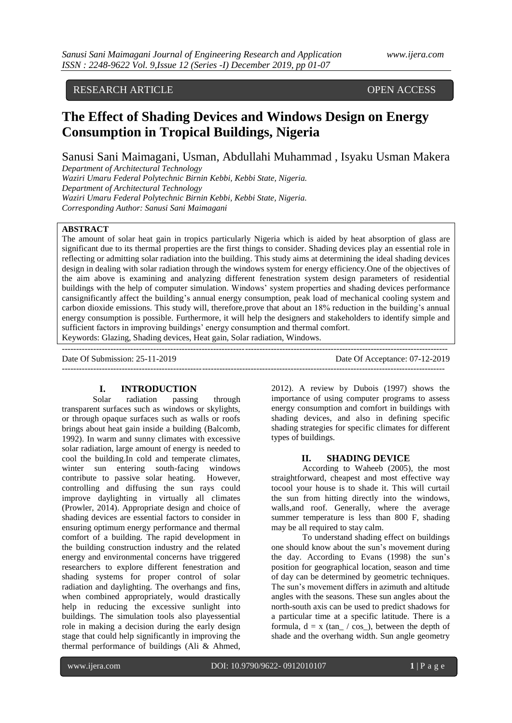### RESEARCH ARTICLE OPEN ACCESS

## **The Effect of Shading Devices and Windows Design on Energy Consumption in Tropical Buildings, Nigeria**

Sanusi Sani Maimagani, Usman, Abdullahi Muhammad , Isyaku Usman Makera

*Department of Architectural Technology Waziri Umaru Federal Polytechnic Birnin Kebbi, Kebbi State, Nigeria. Department of Architectural Technology Waziri Umaru Federal Polytechnic Birnin Kebbi, Kebbi State, Nigeria.*

*Corresponding Author: Sanusi Sani Maimagani*

#### **ABSTRACT**

The amount of solar heat gain in tropics particularly Nigeria which is aided by heat absorption of glass are significant due to its thermal properties are the first things to consider. Shading devices play an essential role in reflecting or admitting solar radiation into the building. This study aims at determining the ideal shading devices design in dealing with solar radiation through the windows system for energy efficiency.One of the objectives of the aim above is examining and analyzing different fenestration system design parameters of residential buildings with the help of computer simulation. Windows' system properties and shading devices performance cansignificantly affect the building's annual energy consumption, peak load of mechanical cooling system and carbon dioxide emissions. This study will, therefore,prove that about an 18% reduction in the building's annual energy consumption is possible. Furthermore, it will help the designers and stakeholders to identify simple and sufficient factors in improving buildings' energy consumption and thermal comfort.

Keywords: Glazing, Shading devices, Heat gain, Solar radiation, Windows.

--------------------------------------------------------------------------------------------------------------------------------------- Date Of Submission: 25-11-2019 Date Of Acceptance: 07-12-2019 --------------------------------------------------------------------------------------------------------------------------------------

# **I. INTRODUCTION**<br>Solar radiation passing

radiation passing through transparent surfaces such as windows or skylights, or through opaque surfaces such as walls or roofs brings about heat gain inside a building (Balcomb, 1992). In warm and sunny climates with excessive solar radiation, large amount of energy is needed to cool the building.In cold and temperate climates, winter sun entering south-facing windows contribute to passive solar heating. However, controlling and diffusing the sun rays could improve daylighting in virtually all climates (Prowler, 2014). Appropriate design and choice of shading devices are essential factors to consider in ensuring optimum energy performance and thermal comfort of a building. The rapid development in the building construction industry and the related energy and environmental concerns have triggered researchers to explore different fenestration and shading systems for proper control of solar radiation and daylighting. The overhangs and fins, when combined appropriately, would drastically help in reducing the excessive sunlight into buildings. The simulation tools also playessential role in making a decision during the early design stage that could help significantly in improving the thermal performance of buildings (Ali & Ahmed,

2012). A review by Dubois (1997) shows the importance of using computer programs to assess energy consumption and comfort in buildings with shading devices, and also in defining specific shading strategies for specific climates for different types of buildings.

#### **II. SHADING DEVICE**

According to Waheeb (2005), the most straightforward, cheapest and most effective way tocool your house is to shade it. This will curtail the sun from hitting directly into the windows, walls,and roof. Generally, where the average summer temperature is less than 800 F, shading may be all required to stay calm.

To understand shading effect on buildings one should know about the sun's movement during the day. According to Evans (1998) the sun's position for geographical location, season and time of day can be determined by geometric techniques. The sun's movement differs in azimuth and altitude angles with the seasons. These sun angles about the north-south axis can be used to predict shadows for a particular time at a specific latitude. There is a formula,  $d = x$  (tan / cos ), between the depth of shade and the overhang width. Sun angle geometry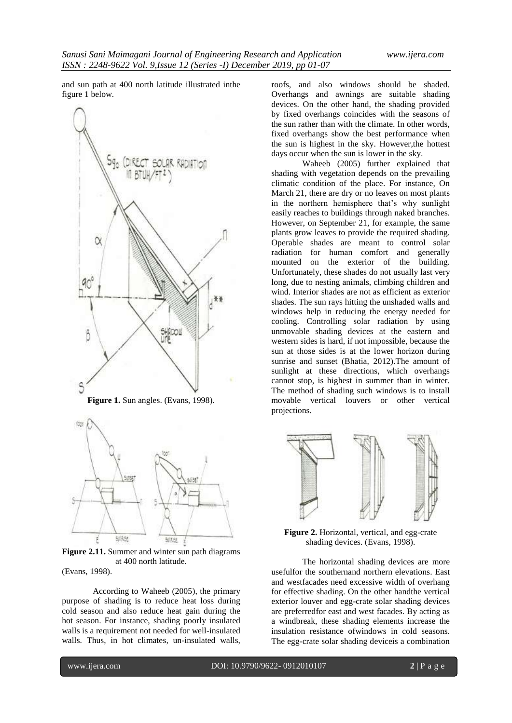and sun path at 400 north latitude illustrated inthe figure 1 below.



**Figure 1.** Sun angles. (Evans, 1998).



**Figure 2.11.** Summer and winter sun path diagrams at 400 north latitude.

(Evans, 1998).

According to Waheeb (2005), the primary purpose of shading is to reduce heat loss during cold season and also reduce heat gain during the hot season. For instance, shading poorly insulated walls is a requirement not needed for well-insulated walls. Thus, in hot climates, un-insulated walls,

roofs, and also windows should be shaded. Overhangs and awnings are suitable shading devices. On the other hand, the shading provided by fixed overhangs coincides with the seasons of the sun rather than with the climate. In other words, fixed overhangs show the best performance when the sun is highest in the sky. However,the hottest days occur when the sun is lower in the sky.

Waheeb (2005) further explained that shading with vegetation depends on the prevailing climatic condition of the place. For instance, On March 21, there are dry or no leaves on most plants in the northern hemisphere that's why sunlight easily reaches to buildings through naked branches. However, on September 21, for example, the same plants grow leaves to provide the required shading. Operable shades are meant to control solar radiation for human comfort and generally mounted on the exterior of the building. Unfortunately, these shades do not usually last very long, due to nesting animals, climbing children and wind. Interior shades are not as efficient as exterior shades. The sun rays hitting the unshaded walls and windows help in reducing the energy needed for cooling. Controlling solar radiation by using unmovable shading devices at the eastern and western sides is hard, if not impossible, because the sun at those sides is at the lower horizon during sunrise and sunset (Bhatia, 2012).The amount of sunlight at these directions, which overhangs cannot stop, is highest in summer than in winter. The method of shading such windows is to install movable vertical louvers or other vertical projections.



**Figure 2.** Horizontal, vertical, and egg-crate shading devices. (Evans, 1998).

The horizontal shading devices are more usefulfor the southernand northern elevations. East and westfacades need excessive width of overhang for effective shading. On the other handthe vertical exterior louver and egg-crate solar shading devices are preferredfor east and west facades. By acting as a windbreak, these shading elements increase the insulation resistance ofwindows in cold seasons. The egg-crate solar shading deviceis a combination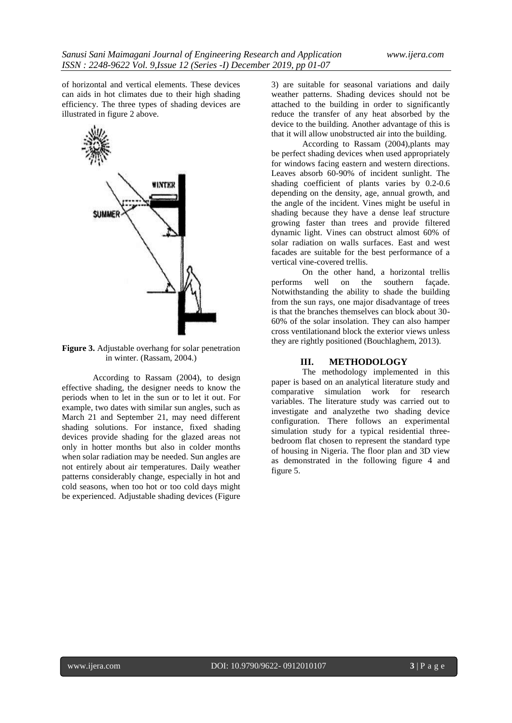of horizontal and vertical elements. These devices can aids in hot climates due to their high shading efficiency. The three types of shading devices are illustrated in figure 2 above.



**Figure 3.** Adjustable overhang for solar penetration in winter. (Rassam, 2004.)

According to Rassam (2004), to design effective shading, the designer needs to know the periods when to let in the sun or to let it out. For example, two dates with similar sun angles, such as March 21 and September 21, may need different shading solutions. For instance, fixed shading devices provide shading for the glazed areas not only in hotter months but also in colder months when solar radiation may be needed. Sun angles are not entirely about air temperatures. Daily weather patterns considerably change, especially in hot and cold seasons, when too hot or too cold days might be experienced. Adjustable shading devices (Figure

3) are suitable for seasonal variations and daily weather patterns. Shading devices should not be attached to the building in order to significantly reduce the transfer of any heat absorbed by the device to the building. Another advantage of this is that it will allow unobstructed air into the building.

According to Rassam (2004),plants may be perfect shading devices when used appropriately for windows facing eastern and western directions. Leaves absorb 60-90% of incident sunlight. The shading coefficient of plants varies by 0.2-0.6 depending on the density, age, annual growth, and the angle of the incident. Vines might be useful in shading because they have a dense leaf structure growing faster than trees and provide filtered dynamic light. Vines can obstruct almost 60% of solar radiation on walls surfaces. East and west facades are suitable for the best performance of a vertical vine-covered trellis.

On the other hand, a horizontal trellis performs well on the southern façade. Notwithstanding the ability to shade the building from the sun rays, one major disadvantage of trees is that the branches themselves can block about 30- 60% of the solar insolation. They can also hamper cross ventilationand block the exterior views unless they are rightly positioned (Bouchlaghem, 2013).

#### **III. METHODOLOGY**

The methodology implemented in this paper is based on an analytical literature study and comparative simulation work for research variables. The literature study was carried out to investigate and analyzethe two shading device configuration. There follows an experimental simulation study for a typical residential threebedroom flat chosen to represent the standard type of housing in Nigeria. The floor plan and 3D view as demonstrated in the following figure 4 and figure 5.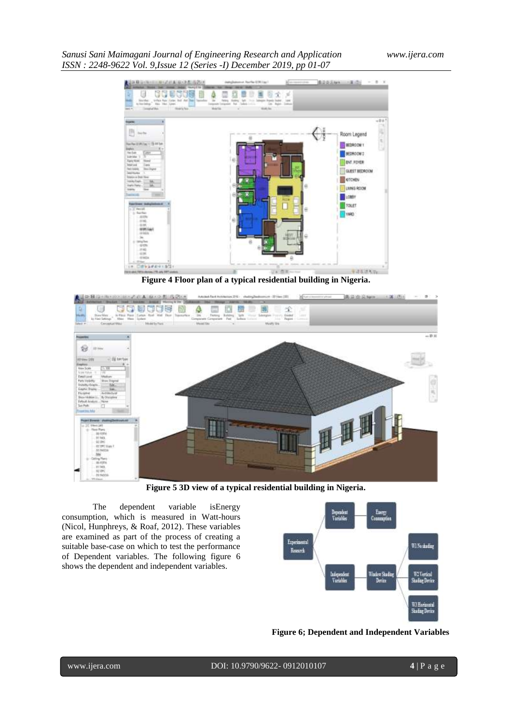#### *Sanusi Sani Maimagani Journal of Engineering Research and Application www.ijera.com ISSN : 2248-9622 Vol. 9,Issue 12 (Series -I) December 2019, pp 01-07*



**Figure 4 Floor plan of a typical residential building in Nigeria.**



**Figure 5 3D view of a typical residential building in Nigeria.**

The dependent variable isEnergy consumption, which is measured in Watt-hours (Nicol, Hunphreys, & Roaf, 2012). These variables are examined as part of the process of creating a suitable base-case on which to test the performance of Dependent variables. The following figure 6 shows the dependent and independent variables.



**Figure 6; Dependent and Independent Variables**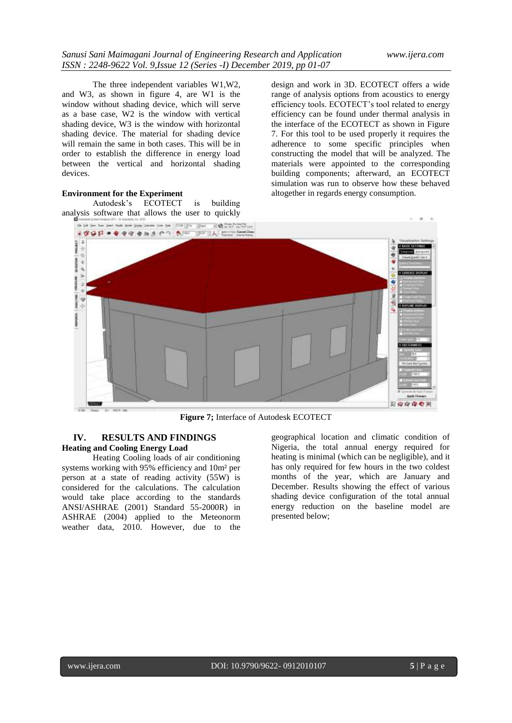The three independent variables W1,W2, and W3, as shown in figure 4, are W1 is the window without shading device, which will serve as a base case, W2 is the window with vertical shading device, W3 is the window with horizontal shading device. The material for shading device will remain the same in both cases. This will be in order to establish the difference in energy load between the vertical and horizontal shading devices.

#### **Environment for the Experiment**

Autodesk's ECOTECT is building analysis software that allows the user to quickly design and work in 3D. ECOTECT offers a wide range of analysis options from acoustics to energy efficiency tools. ECOTECT's tool related to energy efficiency can be found under thermal analysis in the interface of the ECOTECT as shown in Figure 7. For this tool to be used properly it requires the adherence to some specific principles when constructing the model that will be analyzed. The materials were appointed to the corresponding building components; afterward, an ECOTECT simulation was run to observe how these behaved altogether in regards energy consumption.



**Figure 7;** Interface of Autodesk ECOTECT

#### **IV. RESULTS AND FINDINGS Heating and Cooling Energy Load**

Heating Cooling loads of air conditioning systems working with 95% efficiency and 10m² per person at a state of reading activity (55W) is considered for the calculations. The calculation would take place according to the standards ANSI/ASHRAE (2001) Standard 55-2000R) in ASHRAE (2004) applied to the Meteonorm weather data, 2010. However, due to the

geographical location and climatic condition of Nigeria, the total annual energy required for heating is minimal (which can be negligible), and it has only required for few hours in the two coldest months of the year, which are January and December. Results showing the effect of various shading device configuration of the total annual energy reduction on the baseline model are presented below;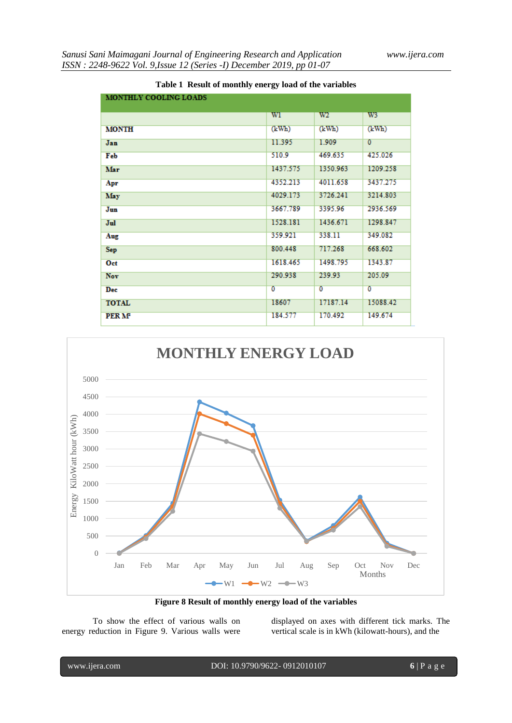| MONTHLY COOLING LOADS   |                |          |          |
|-------------------------|----------------|----------|----------|
|                         |                | W2       |          |
|                         | WI             |          | W3       |
| <b>MONTH</b>            | (kWh)          | (kWh)    | (kWh)    |
| Jan                     | 11.395         | 1.909    | $\sigma$ |
| Feb                     | 510.9          | 469.635  | 425.026  |
| Mar                     | 1437.575       | 1350.963 | 1209.258 |
| Apr                     | 4352.213       | 4011.658 | 3437.275 |
| May                     | 4029.173       | 3726.241 | 3214.803 |
| Jun                     | 3667.789       | 3395.96  | 2936.569 |
| Jul                     | 1528.181       | 1436.671 | 1298.847 |
| Aug                     | 359.921        | 338.11   | 349.082  |
| <b>Sep</b>              | 800.448        | 717.268  | 668.602  |
| Oct                     | 1618.465       | 1498.795 | 1343.87  |
| <b>Nov</b>              | 290.938        | 239.93   | 205.09   |
| Dec                     | $\overline{0}$ | $\sigma$ | ō        |
| <b>TOTAL</b>            | 18607          | 17187.14 | 15088.42 |
| <b>PERM<sup>2</sup></b> | 184.577        | 170.492  | 149.674  |

**Table 1 Result of monthly energy load of the variables**



**Figure 8 Result of monthly energy load of the variables**

To show the effect of various walls on energy reduction in Figure 9. Various walls were displayed on axes with different tick marks. The vertical scale is in kWh (kilowatt-hours), and the